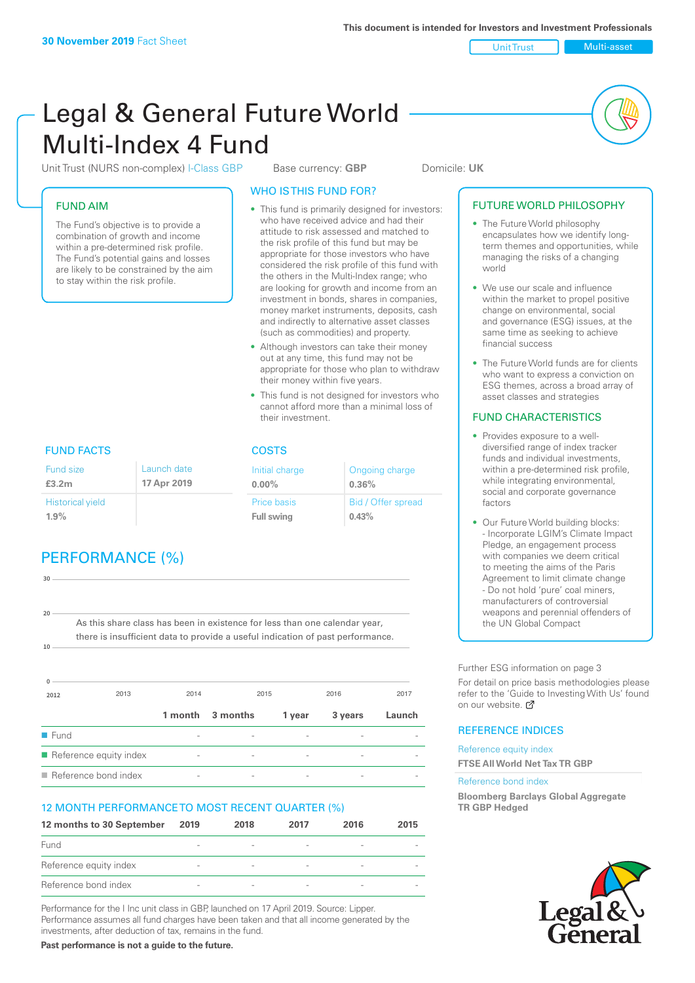Unit Trust Multi-asset

# Legal & General Future World Multi-Index 4 Fund

Unit Trust (NURS non-complex) I-Class GBP Base currency: **GBP** Domicile: UK

### FUND AIM

The Fund's objective is to provide a combination of growth and income within a pre-determined risk profile. The Fund's potential gains and losses are likely to be constrained by the aim to stay within the risk profile.

### WHO IS THIS FUND FOR?

- This fund is primarily designed for investors: who have received advice and had their attitude to risk assessed and matched to the risk profile of this fund but may be appropriate for those investors who have considered the risk profile of this fund with the others in the Multi-Index range; who are looking for growth and income from an investment in bonds, shares in companies, money market instruments, deposits, cash and indirectly to alternative asset classes (such as commodities) and property.
- Although investors can take their money out at any time, this fund may not be appropriate for those who plan to withdraw their money within five years.
- This fund is not designed for investors who cannot afford more than a minimal loss of their investment.

Ongoing charge

Bid / Offer spread

**0.36%**

**0.43%**

Initial charge **0.00%**

Price basis **Full swing**

# FUND FACTS COSTS

| Fund size<br>£3.2m      | Launch date<br>17 Apr 2019 |
|-------------------------|----------------------------|
| <b>Historical yield</b> |                            |
| 1.9%                    |                            |

# PERFORMANCE (%)

| 30   |                                                                                                                                                              |         |                          |                          |                          |        |
|------|--------------------------------------------------------------------------------------------------------------------------------------------------------------|---------|--------------------------|--------------------------|--------------------------|--------|
|      |                                                                                                                                                              |         |                          |                          |                          |        |
|      |                                                                                                                                                              |         |                          |                          |                          |        |
| 20   |                                                                                                                                                              |         |                          |                          |                          |        |
|      | As this share class has been in existence for less than one calendar year,<br>there is insufficient data to provide a useful indication of past performance. |         |                          |                          |                          |        |
| 10   |                                                                                                                                                              |         |                          |                          |                          |        |
|      |                                                                                                                                                              |         |                          |                          |                          |        |
|      |                                                                                                                                                              |         |                          |                          |                          |        |
| 2012 | 2013                                                                                                                                                         | 2014    | 2015                     |                          | 2016                     | 2017   |
|      |                                                                                                                                                              |         |                          |                          |                          |        |
|      |                                                                                                                                                              | 1 month | 3 months                 | 1 year                   | 3 years                  | Launch |
| Fund |                                                                                                                                                              |         |                          |                          |                          |        |
|      | Reference equity index                                                                                                                                       |         | $\overline{\phantom{a}}$ | $\overline{\phantom{a}}$ | $\overline{\phantom{0}}$ |        |

 $\blacksquare$  Reference bond index

### 12 MONTH PERFORMANCE TO MOST RECENT QUARTER (%)

| 12 months to 30 September | 2019                     | 2018                     | 2017                     | 2016 | 2015 |
|---------------------------|--------------------------|--------------------------|--------------------------|------|------|
| Fund                      |                          |                          | $\overline{\phantom{a}}$ |      |      |
| Reference equity index    | $\overline{\phantom{0}}$ |                          | $\overline{\phantom{a}}$ |      |      |
| Reference bond index      | -                        | $\overline{\phantom{a}}$ | $\overline{\phantom{a}}$ |      |      |

Performance for the I Inc unit class in GBP, launched on 17 April 2019. Source: Lipper. Performance assumes all fund charges have been taken and that all income generated by the investments, after deduction of tax, remains in the fund.

**Past performance is not a guide to the future.**

#### • The Future World philosophy encapsulates how we identify longterm themes and opportunities, while managing the risks of a changing world

• We use our scale and influence within the market to propel positive change on environmental, social and governance (ESG) issues, at the same time as seeking to achieve financial success

FUTURE WORLD PHILOSOPHY

• The Future World funds are for clients who want to express a conviction on ESG themes, across a broad array of asset classes and strategies

### FUND CHARACTERISTICS

- Provides exposure to a welldiversified range of index tracker funds and individual investments, within a pre-determined risk profile while integrating environmental, social and corporate governance factors
- Our Future World building blocks: - Incorporate LGIM's Climate Impact Pledge, an engagement process with companies we deem critical to meeting the aims of the Paris Agreement to limit climate change - Do not hold 'pure' coal miners, manufacturers of controversial weapons and perennial offenders of the UN Global Compact

Further ESG information on page 3

For detail on price basis methodologies please refer to the 'Guide to Investing With Us' found on our website. a

### REFERENCE INDICES

Reference equity index **FTSE All World Net Tax TR GBP**

#### Reference bond index

**Bloomberg Barclays Global Aggregate TR GBP Hedged**

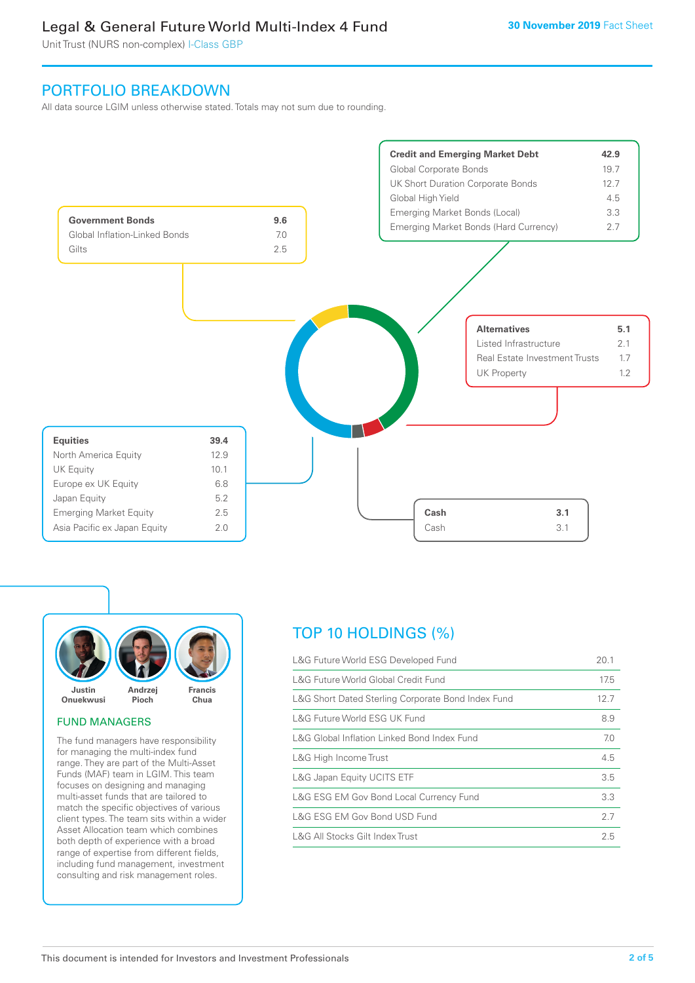## Legal & General Future World Multi-Index 4 Fund

Unit Trust (NURS non-complex) I-Class GBP

### PORTFOLIO BREAKDOWN

All data source LGIM unless otherwise stated. Totals may not sum due to rounding.





#### FUND MANAGERS

The fund managers have responsibility for managing the multi-index fund range. They are part of the Multi-Asset Funds (MAF) team in LGIM. This team focuses on designing and managing multi-asset funds that are tailored to match the specific objectives of various client types. The team sits within a wider Asset Allocation team which combines both depth of experience with a broad range of expertise from different fields, including fund management, investment consulting and risk management roles.

# TOP 10 HOLDINGS (%)

| L&G Future World ESG Developed Fund                | 20.1 |
|----------------------------------------------------|------|
| L&G Future World Global Credit Fund                | 17.5 |
| L&G Short Dated Sterling Corporate Bond Index Fund | 12.7 |
| L&G Future World ESG UK Fund                       | 8.9  |
| L&G Global Inflation Linked Bond Index Fund        | 7.0  |
| L&G High Income Trust                              | 4.5  |
| L&G Japan Equity UCITS ETF                         | 3.5  |
| L&G ESG EM Gov Bond Local Currency Fund            | 3.3  |
| L&G ESG EM Gov Bond USD Fund                       | 2.7  |
| L&G All Stocks Gilt Index Trust                    | 2.5  |
|                                                    |      |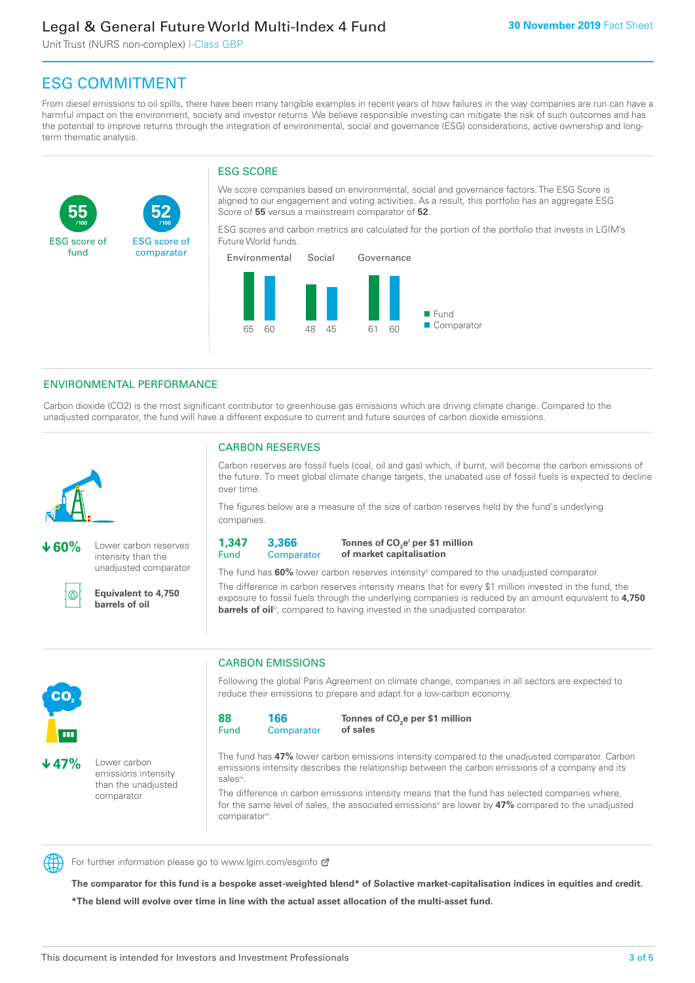## Legal & General Future World Multi-Index 4 Fund

Unit Trust (NURS non-complex) I-Class GBP

**52**

ESG score of comparator

# ESG COMMITMENT

**/100 /100**

From diesel emissions to oil spills, there have been many tangible examples in recent years of how failures in the way companies are run can have a harmful impact on the environment, society and investor returns. We believe responsible investing can mitigate the risk of such outcomes and has the potential to improve returns through the integration of environmental, social and governance (ESG) considerations, active ownership and longterm thematic analysis.

### ESG SCORE

We score companies based on environmental, social and governance factors. The ESG Score is aligned to our engagement and voting activities. As a result, this portfolio has an aggregate ESG Score of **55** versus a mainstream comparator of **52**.

ESG scores and carbon metrics are calculated for the portion of the portfolio that invests in LGIM's Future World funds.



### ENVIRONMENTAL PERFORMANCE

Carbon dioxide (CO2) is the most significant contributor to greenhouse gas emissions which are driving climate change. Compared to the unadjusted comparator, the fund will have a different exposure to current and future sources of carbon dioxide emissions.



**55**

ESG score of fund

**60%** Lower carbon reserves intensity than the unadjusted comparator

൹

CO<sub>2</sub>

**47%** Lower carbon

emissions intensity than the unadjusted comparator

**Equivalent to 4,750 barrels of oil**

### CARBON RESERVES

Carbon reserves are fossil fuels (coal, oil and gas) which, if burnt, will become the carbon emissions of the future. To meet global climate change targets, the unabated use of fossil fuels is expected to decline over time.

The figures below are a measure of the size of carbon reserves held by the fund's underlying companies.

**1,347** Fund **3,366 Comparator** 

**Tonnes of CO2 ei per \$1 million of market capitalisation**

The fund has **60%** lower carbon reserves intensityii compared to the unadjusted comparator. The difference in carbon reserves intensity means that for every \$1 million invested in the fund, the exposure to fossil fuels through the underlying companies is reduced by an amount equivalent to **4,750 barrels of oil**<sup>iii</sup>, compared to having invested in the unadjusted comparator.



Following the global Paris Agreement on climate change, companies in all sectors are expected to reduce their emissions to prepare and adapt for a low-carbon economy.



**Tonnes of CO2 e per \$1 million of sales**

The fund has **47%** lower carbon emissions intensity compared to the unadjusted comparator. Carbon emissions intensity describes the relationship between the carbon emissions of a company and its salesiv

The difference in carbon emissions intensity means that the fund has selected companies where, for the same level of sales, the associated emissions<sup>v</sup> are lower by 47% compared to the unadjusted comparator<sup>vi</sup>.



For further information please go to www.lgim.com/esginfo Ø

**The comparator for this fund is a bespoke asset-weighted blend\* of Solactive market-capitalisation indices in equities and credit. \*The blend will evolve over time in line with the actual asset allocation of the multi-asset fund.**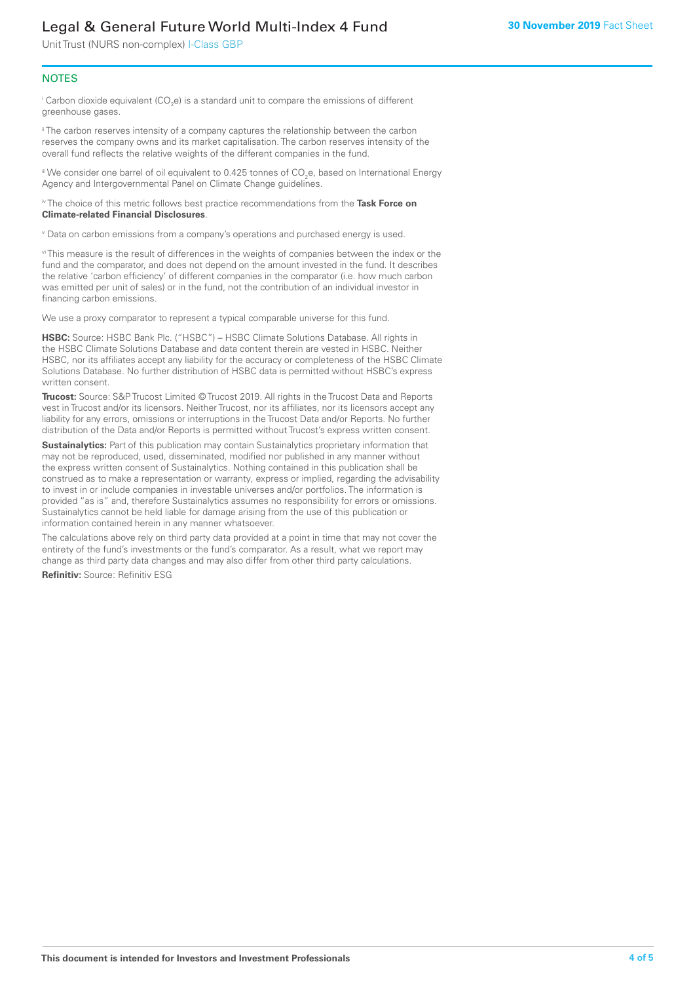# Legal & General Future World Multi-Index 4 Fund

Unit Trust (NURS non-complex) I-Class GBP

### **NOTES**

 $^\mathrm{i}$  Carbon dioxide equivalent (CO<sub>2</sub>e) is a standard unit to compare the emissions of different greenhouse gases.

<sup>ii</sup> The carbon reserves intensity of a company captures the relationship between the carbon reserves the company owns and its market capitalisation. The carbon reserves intensity of the overall fund reflects the relative weights of the different companies in the fund.

iii We consider one barrel of oil equivalent to 0.425 tonnes of CO<sub>2</sub>e, based on International Energy Agency and Intergovernmental Panel on Climate Change guidelines.

#### iv The choice of this metric follows best practice recommendations from the **Task Force on Climate-related Financial Disclosures**.

v Data on carbon emissions from a company's operations and purchased energy is used.

vi This measure is the result of differences in the weights of companies between the index or the fund and the comparator, and does not depend on the amount invested in the fund. It describes the relative 'carbon efficiency' of different companies in the comparator (i.e. how much carbon was emitted per unit of sales) or in the fund, not the contribution of an individual investor in financing carbon emissions.

We use a proxy comparator to represent a typical comparable universe for this fund.

**HSBC:** Source: HSBC Bank Plc. ("HSBC") – HSBC Climate Solutions Database. All rights in the HSBC Climate Solutions Database and data content therein are vested in HSBC. Neither HSBC, nor its affiliates accept any liability for the accuracy or completeness of the HSBC Climate Solutions Database. No further distribution of HSBC data is permitted without HSBC's express written consent.

**Trucost:** Source: S&P Trucost Limited © Trucost 2019. All rights in the Trucost Data and Reports vest in Trucost and/or its licensors. Neither Trucost, nor its affiliates, nor its licensors accept any liability for any errors, omissions or interruptions in the Trucost Data and/or Reports. No further distribution of the Data and/or Reports is permitted without Trucost's express written consent.

**Sustainalytics:** Part of this publication may contain Sustainalytics proprietary information that may not be reproduced, used, disseminated, modified nor published in any manner without the express written consent of Sustainalytics. Nothing contained in this publication shall be construed as to make a representation or warranty, express or implied, regarding the advisability to invest in or include companies in investable universes and/or portfolios. The information is provided "as is" and, therefore Sustainalytics assumes no responsibility for errors or omissions. Sustainalytics cannot be held liable for damage arising from the use of this publication or information contained herein in any manner whatsoever.

The calculations above rely on third party data provided at a point in time that may not cover the entirety of the fund's investments or the fund's comparator. As a result, what we report may change as third party data changes and may also differ from other third party calculations.

**Refinitiv:** Source: Refinitiv ESG